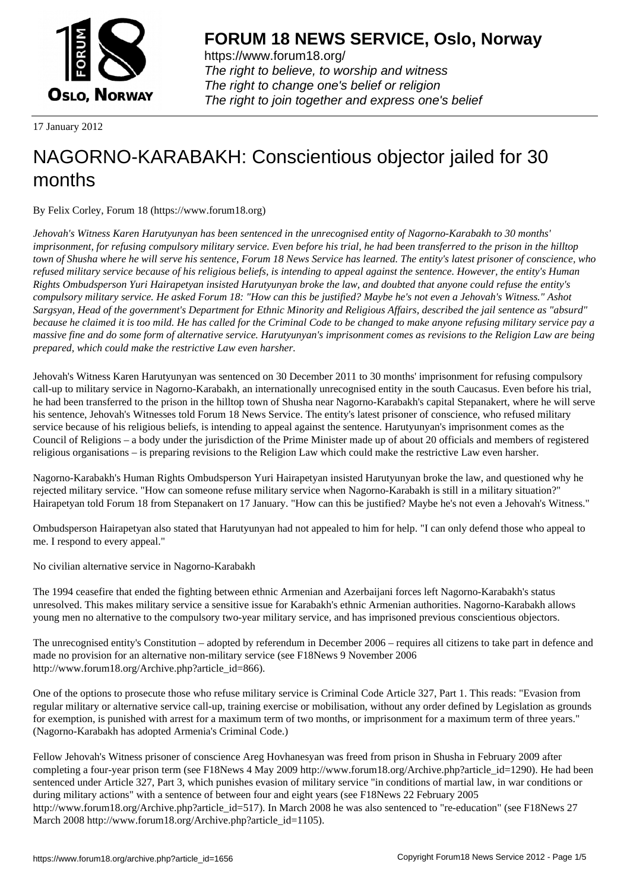

https://www.forum18.org/ The right to believe, to worship and witness The right to change one's belief or religion [The right to join together a](https://www.forum18.org/)nd express one's belief

17 January 2012

# [NAGORNO-KA](https://www.forum18.org)RABAKH: Conscientious objector jailed for 30 months

By Felix Corley, Forum 18 (https://www.forum18.org)

*Jehovah's Witness Karen Harutyunyan has been sentenced in the unrecognised entity of Nagorno-Karabakh to 30 months' imprisonment, for refusing compulsory military service. Even before his trial, he had been transferred to the prison in the hilltop town of Shusha where he will serve his sentence, Forum 18 News Service has learned. The entity's latest prisoner of conscience, who refused military service because of his religious beliefs, is intending to appeal against the sentence. However, the entity's Human Rights Ombudsperson Yuri Hairapetyan insisted Harutyunyan broke the law, and doubted that anyone could refuse the entity's compulsory military service. He asked Forum 18: "How can this be justified? Maybe he's not even a Jehovah's Witness." Ashot Sargsyan, Head of the government's Department for Ethnic Minority and Religious Affairs, described the jail sentence as "absurd" because he claimed it is too mild. He has called for the Criminal Code to be changed to make anyone refusing military service pay a massive fine and do some form of alternative service. Harutyunyan's imprisonment comes as revisions to the Religion Law are being prepared, which could make the restrictive Law even harsher.*

Jehovah's Witness Karen Harutyunyan was sentenced on 30 December 2011 to 30 months' imprisonment for refusing compulsory call-up to military service in Nagorno-Karabakh, an internationally unrecognised entity in the south Caucasus. Even before his trial, he had been transferred to the prison in the hilltop town of Shusha near Nagorno-Karabakh's capital Stepanakert, where he will serve his sentence, Jehovah's Witnesses told Forum 18 News Service. The entity's latest prisoner of conscience, who refused military service because of his religious beliefs, is intending to appeal against the sentence. Harutyunyan's imprisonment comes as the Council of Religions – a body under the jurisdiction of the Prime Minister made up of about 20 officials and members of registered religious organisations – is preparing revisions to the Religion Law which could make the restrictive Law even harsher.

Nagorno-Karabakh's Human Rights Ombudsperson Yuri Hairapetyan insisted Harutyunyan broke the law, and questioned why he rejected military service. "How can someone refuse military service when Nagorno-Karabakh is still in a military situation?" Hairapetyan told Forum 18 from Stepanakert on 17 January. "How can this be justified? Maybe he's not even a Jehovah's Witness."

Ombudsperson Hairapetyan also stated that Harutyunyan had not appealed to him for help. "I can only defend those who appeal to me. I respond to every appeal."

No civilian alternative service in Nagorno-Karabakh

The 1994 ceasefire that ended the fighting between ethnic Armenian and Azerbaijani forces left Nagorno-Karabakh's status unresolved. This makes military service a sensitive issue for Karabakh's ethnic Armenian authorities. Nagorno-Karabakh allows young men no alternative to the compulsory two-year military service, and has imprisoned previous conscientious objectors.

The unrecognised entity's Constitution – adopted by referendum in December 2006 – requires all citizens to take part in defence and made no provision for an alternative non-military service (see F18News 9 November 2006 http://www.forum18.org/Archive.php?article\_id=866).

One of the options to prosecute those who refuse military service is Criminal Code Article 327, Part 1. This reads: "Evasion from regular military or alternative service call-up, training exercise or mobilisation, without any order defined by Legislation as grounds for exemption, is punished with arrest for a maximum term of two months, or imprisonment for a maximum term of three years." (Nagorno-Karabakh has adopted Armenia's Criminal Code.)

Fellow Jehovah's Witness prisoner of conscience Areg Hovhanesyan was freed from prison in Shusha in February 2009 after completing a four-year prison term (see F18News 4 May 2009 http://www.forum18.org/Archive.php?article\_id=1290). He had been sentenced under Article 327, Part 3, which punishes evasion of military service "in conditions of martial law, in war conditions or during military actions" with a sentence of between four and eight years (see F18News 22 February 2005 http://www.forum18.org/Archive.php?article\_id=517). In March 2008 he was also sentenced to "re-education" (see F18News 27 March 2008 http://www.forum18.org/Archive.php?article\_id=1105).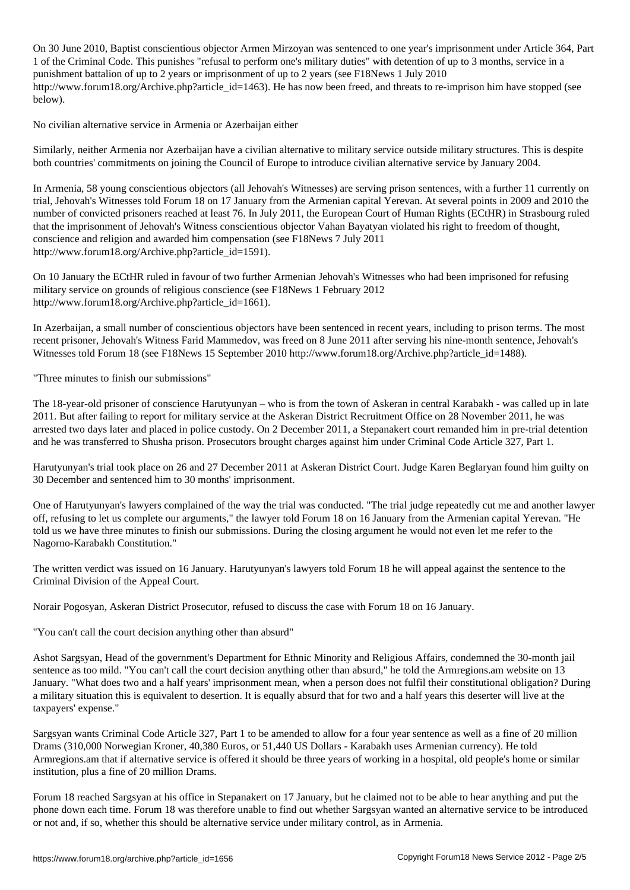$\overline{\phantom{a}}$  , and are not year armor Mirzoyan was sentenced to one year's imprisonment under Article 364, Particle 364, Particle 364, Particle 364, Particle 364, Particle 364, Particle 364, Particle 364, Particle 364, Par 1 of the Criminal Code. This punishes "refusal to perform one's military duties" with detention of up to 3 months, service in a punishment battalion of up to 2 years or imprisonment of up to 2 years (see F18News 1 July 2010 http://www.forum18.org/Archive.php?article\_id=1463). He has now been freed, and threats to re-imprison him have stopped (see below).

No civilian alternative service in Armenia or Azerbaijan either

Similarly, neither Armenia nor Azerbaijan have a civilian alternative to military service outside military structures. This is despite both countries' commitments on joining the Council of Europe to introduce civilian alternative service by January 2004.

In Armenia, 58 young conscientious objectors (all Jehovah's Witnesses) are serving prison sentences, with a further 11 currently on trial, Jehovah's Witnesses told Forum 18 on 17 January from the Armenian capital Yerevan. At several points in 2009 and 2010 the number of convicted prisoners reached at least 76. In July 2011, the European Court of Human Rights (ECtHR) in Strasbourg ruled that the imprisonment of Jehovah's Witness conscientious objector Vahan Bayatyan violated his right to freedom of thought, conscience and religion and awarded him compensation (see F18News 7 July 2011 http://www.forum18.org/Archive.php?article\_id=1591).

On 10 January the ECtHR ruled in favour of two further Armenian Jehovah's Witnesses who had been imprisoned for refusing military service on grounds of religious conscience (see F18News 1 February 2012 http://www.forum18.org/Archive.php?article\_id=1661).

In Azerbaijan, a small number of conscientious objectors have been sentenced in recent years, including to prison terms. The most recent prisoner, Jehovah's Witness Farid Mammedov, was freed on 8 June 2011 after serving his nine-month sentence, Jehovah's Witnesses told Forum 18 (see F18News 15 September 2010 http://www.forum18.org/Archive.php?article\_id=1488).

"Three minutes to finish our submissions"

The 18-year-old prisoner of conscience Harutyunyan – who is from the town of Askeran in central Karabakh - was called up in late 2011. But after failing to report for military service at the Askeran District Recruitment Office on 28 November 2011, he was arrested two days later and placed in police custody. On 2 December 2011, a Stepanakert court remanded him in pre-trial detention and he was transferred to Shusha prison. Prosecutors brought charges against him under Criminal Code Article 327, Part 1.

Harutyunyan's trial took place on 26 and 27 December 2011 at Askeran District Court. Judge Karen Beglaryan found him guilty on 30 December and sentenced him to 30 months' imprisonment.

One of Harutyunyan's lawyers complained of the way the trial was conducted. "The trial judge repeatedly cut me and another lawyer off, refusing to let us complete our arguments," the lawyer told Forum 18 on 16 January from the Armenian capital Yerevan. "He told us we have three minutes to finish our submissions. During the closing argument he would not even let me refer to the Nagorno-Karabakh Constitution."

The written verdict was issued on 16 January. Harutyunyan's lawyers told Forum 18 he will appeal against the sentence to the Criminal Division of the Appeal Court.

Norair Pogosyan, Askeran District Prosecutor, refused to discuss the case with Forum 18 on 16 January.

"You can't call the court decision anything other than absurd"

Ashot Sargsyan, Head of the government's Department for Ethnic Minority and Religious Affairs, condemned the 30-month jail sentence as too mild. "You can't call the court decision anything other than absurd," he told the Armregions.am website on 13 January. "What does two and a half years' imprisonment mean, when a person does not fulfil their constitutional obligation? During a military situation this is equivalent to desertion. It is equally absurd that for two and a half years this deserter will live at the taxpayers' expense."

Sargsyan wants Criminal Code Article 327, Part 1 to be amended to allow for a four year sentence as well as a fine of 20 million Drams (310,000 Norwegian Kroner, 40,380 Euros, or 51,440 US Dollars - Karabakh uses Armenian currency). He told Armregions.am that if alternative service is offered it should be three years of working in a hospital, old people's home or similar institution, plus a fine of 20 million Drams.

Forum 18 reached Sargsyan at his office in Stepanakert on 17 January, but he claimed not to be able to hear anything and put the phone down each time. Forum 18 was therefore unable to find out whether Sargsyan wanted an alternative service to be introduced or not and, if so, whether this should be alternative service under military control, as in Armenia.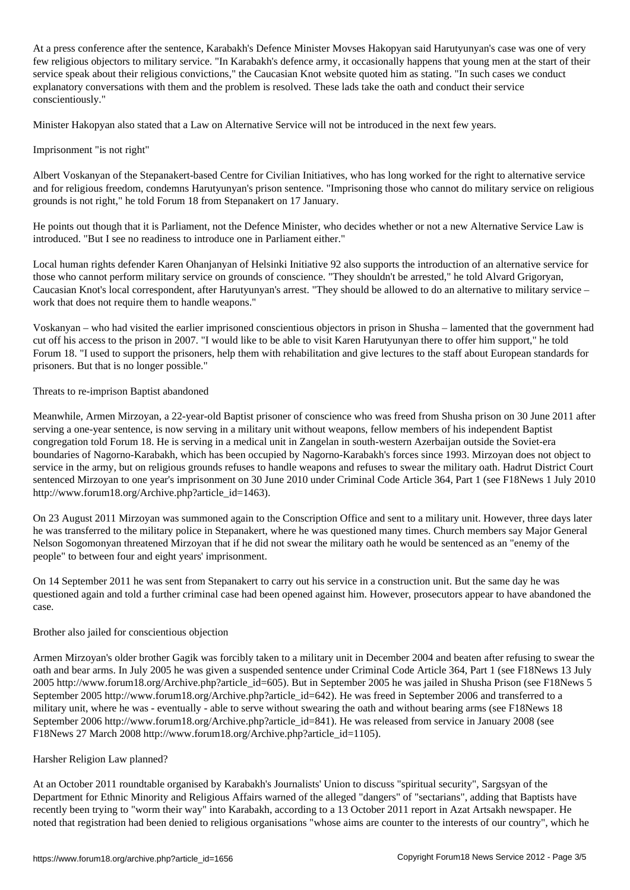At a press conference after the sentence, Karabakh's Defence Minister Movses Hakopyan said Harutyunyan's case was one of very few religious objectors to military service. "In Karabakh's defence army, it occasionally happens that young men at the start of their service speak about their religious convictions," the Caucasian Knot website quoted him as stating. "In such cases we conduct explanatory conversations with them and the problem is resolved. These lads take the oath and conduct their service conscientiously."

Minister Hakopyan also stated that a Law on Alternative Service will not be introduced in the next few years.

## Imprisonment "is not right"

Albert Voskanyan of the Stepanakert-based Centre for Civilian Initiatives, who has long worked for the right to alternative service and for religious freedom, condemns Harutyunyan's prison sentence. "Imprisoning those who cannot do military service on religious grounds is not right," he told Forum 18 from Stepanakert on 17 January.

He points out though that it is Parliament, not the Defence Minister, who decides whether or not a new Alternative Service Law is introduced. "But I see no readiness to introduce one in Parliament either."

Local human rights defender Karen Ohanjanyan of Helsinki Initiative 92 also supports the introduction of an alternative service for those who cannot perform military service on grounds of conscience. "They shouldn't be arrested," he told Alvard Grigoryan, Caucasian Knot's local correspondent, after Harutyunyan's arrest. "They should be allowed to do an alternative to military service – work that does not require them to handle weapons."

Voskanyan – who had visited the earlier imprisoned conscientious objectors in prison in Shusha – lamented that the government had cut off his access to the prison in 2007. "I would like to be able to visit Karen Harutyunyan there to offer him support," he told Forum 18. "I used to support the prisoners, help them with rehabilitation and give lectures to the staff about European standards for prisoners. But that is no longer possible."

### Threats to re-imprison Baptist abandoned

Meanwhile, Armen Mirzoyan, a 22-year-old Baptist prisoner of conscience who was freed from Shusha prison on 30 June 2011 after serving a one-year sentence, is now serving in a military unit without weapons, fellow members of his independent Baptist congregation told Forum 18. He is serving in a medical unit in Zangelan in south-western Azerbaijan outside the Soviet-era boundaries of Nagorno-Karabakh, which has been occupied by Nagorno-Karabakh's forces since 1993. Mirzoyan does not object to service in the army, but on religious grounds refuses to handle weapons and refuses to swear the military oath. Hadrut District Court sentenced Mirzoyan to one year's imprisonment on 30 June 2010 under Criminal Code Article 364, Part 1 (see F18News 1 July 2010 http://www.forum18.org/Archive.php?article\_id=1463).

On 23 August 2011 Mirzoyan was summoned again to the Conscription Office and sent to a military unit. However, three days later he was transferred to the military police in Stepanakert, where he was questioned many times. Church members say Major General Nelson Sogomonyan threatened Mirzoyan that if he did not swear the military oath he would be sentenced as an "enemy of the people" to between four and eight years' imprisonment.

On 14 September 2011 he was sent from Stepanakert to carry out his service in a construction unit. But the same day he was questioned again and told a further criminal case had been opened against him. However, prosecutors appear to have abandoned the case.

### Brother also jailed for conscientious objection

Armen Mirzoyan's older brother Gagik was forcibly taken to a military unit in December 2004 and beaten after refusing to swear the oath and bear arms. In July 2005 he was given a suspended sentence under Criminal Code Article 364, Part 1 (see F18News 13 July 2005 http://www.forum18.org/Archive.php?article\_id=605). But in September 2005 he was jailed in Shusha Prison (see F18News 5 September 2005 http://www.forum18.org/Archive.php?article\_id=642). He was freed in September 2006 and transferred to a military unit, where he was - eventually - able to serve without swearing the oath and without bearing arms (see F18News 18 September 2006 http://www.forum18.org/Archive.php?article\_id=841). He was released from service in January 2008 (see F18News 27 March 2008 http://www.forum18.org/Archive.php?article\_id=1105).

### Harsher Religion Law planned?

At an October 2011 roundtable organised by Karabakh's Journalists' Union to discuss "spiritual security", Sargsyan of the Department for Ethnic Minority and Religious Affairs warned of the alleged "dangers" of "sectarians", adding that Baptists have recently been trying to "worm their way" into Karabakh, according to a 13 October 2011 report in Azat Artsakh newspaper. He noted that registration had been denied to religious organisations "whose aims are counter to the interests of our country", which he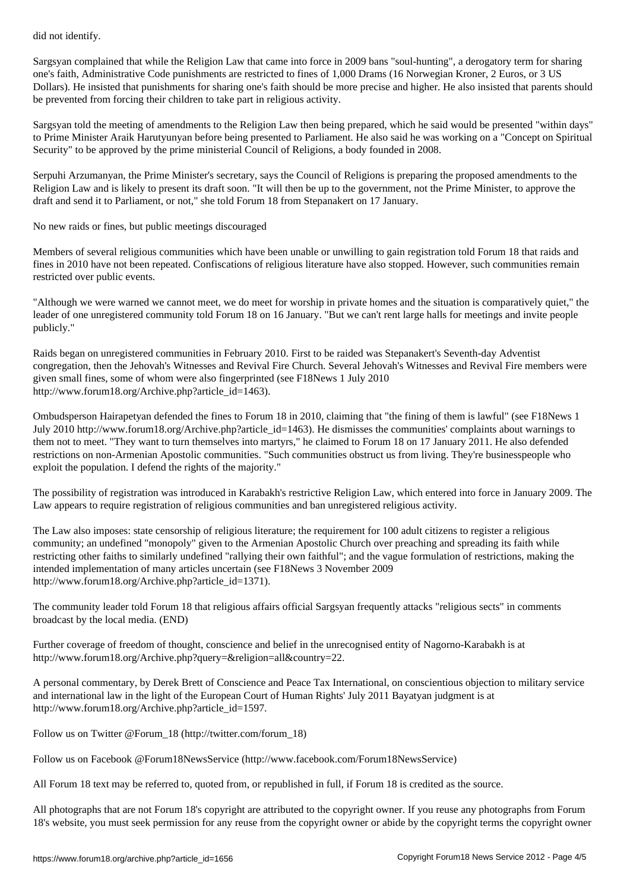Sargsyan complained that while the Religion Law that came into force in 2009 bans "soul-hunting", a derogatory term for sharing one's faith, Administrative Code punishments are restricted to fines of 1,000 Drams (16 Norwegian Kroner, 2 Euros, or 3 US Dollars). He insisted that punishments for sharing one's faith should be more precise and higher. He also insisted that parents should be prevented from forcing their children to take part in religious activity.

Sargsyan told the meeting of amendments to the Religion Law then being prepared, which he said would be presented "within days" to Prime Minister Araik Harutyunyan before being presented to Parliament. He also said he was working on a "Concept on Spiritual Security" to be approved by the prime ministerial Council of Religions, a body founded in 2008.

Serpuhi Arzumanyan, the Prime Minister's secretary, says the Council of Religions is preparing the proposed amendments to the Religion Law and is likely to present its draft soon. "It will then be up to the government, not the Prime Minister, to approve the draft and send it to Parliament, or not," she told Forum 18 from Stepanakert on 17 January.

No new raids or fines, but public meetings discouraged

Members of several religious communities which have been unable or unwilling to gain registration told Forum 18 that raids and fines in 2010 have not been repeated. Confiscations of religious literature have also stopped. However, such communities remain restricted over public events.

"Although we were warned we cannot meet, we do meet for worship in private homes and the situation is comparatively quiet," the leader of one unregistered community told Forum 18 on 16 January. "But we can't rent large halls for meetings and invite people publicly."

Raids began on unregistered communities in February 2010. First to be raided was Stepanakert's Seventh-day Adventist congregation, then the Jehovah's Witnesses and Revival Fire Church. Several Jehovah's Witnesses and Revival Fire members were given small fines, some of whom were also fingerprinted (see F18News 1 July 2010 http://www.forum18.org/Archive.php?article\_id=1463).

Ombudsperson Hairapetyan defended the fines to Forum 18 in 2010, claiming that "the fining of them is lawful" (see F18News 1 July 2010 http://www.forum18.org/Archive.php?article\_id=1463). He dismisses the communities' complaints about warnings to them not to meet. "They want to turn themselves into martyrs," he claimed to Forum 18 on 17 January 2011. He also defended restrictions on non-Armenian Apostolic communities. "Such communities obstruct us from living. They're businesspeople who exploit the population. I defend the rights of the majority."

The possibility of registration was introduced in Karabakh's restrictive Religion Law, which entered into force in January 2009. The Law appears to require registration of religious communities and ban unregistered religious activity.

The Law also imposes: state censorship of religious literature; the requirement for 100 adult citizens to register a religious community; an undefined "monopoly" given to the Armenian Apostolic Church over preaching and spreading its faith while restricting other faiths to similarly undefined "rallying their own faithful"; and the vague formulation of restrictions, making the intended implementation of many articles uncertain (see F18News 3 November 2009 http://www.forum18.org/Archive.php?article\_id=1371).

The community leader told Forum 18 that religious affairs official Sargsyan frequently attacks "religious sects" in comments broadcast by the local media. (END)

Further coverage of freedom of thought, conscience and belief in the unrecognised entity of Nagorno-Karabakh is at http://www.forum18.org/Archive.php?query=&religion=all&country=22.

A personal commentary, by Derek Brett of Conscience and Peace Tax International, on conscientious objection to military service and international law in the light of the European Court of Human Rights' July 2011 Bayatyan judgment is at http://www.forum18.org/Archive.php?article\_id=1597.

Follow us on Twitter @Forum\_18 (http://twitter.com/forum\_18)

Follow us on Facebook @Forum18NewsService (http://www.facebook.com/Forum18NewsService)

All Forum 18 text may be referred to, quoted from, or republished in full, if Forum 18 is credited as the source.

All photographs that are not Forum 18's copyright are attributed to the copyright owner. If you reuse any photographs from Forum 18's website, you must seek permission for any reuse from the copyright owner or abide by the copyright terms the copyright owner